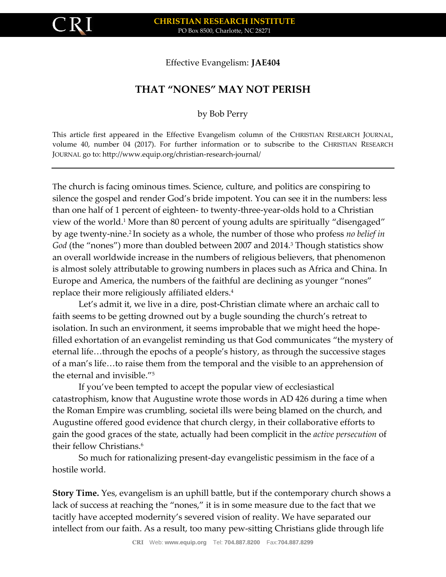

Effective Evangelism: **JAE404**

## **THAT "NONES" MAY NOT PERISH**

by Bob Perry

This article first appeared in the Effective Evangelism column of the CHRISTIAN RESEARCH JOURNAL, volume 40, number 04 (2017). For further information or to subscribe to the CHRISTIAN RESEARCH JOURNAL go to: http://www.equip.org/christian-research-journal/

The church is facing ominous times. Science, culture, and politics are conspiring to silence the gospel and render God's bride impotent. You can see it in the numbers: less than one half of 1 percent of eighteen- to twenty-three-year-olds hold to a Christian view of the world.<sup>1</sup> More than 80 percent of young adults are spiritually "disengaged" by age twenty-nine.<sup>2</sup> In society as a whole, the number of those who profess *no belief in God* (the "nones") more than doubled between 2007 and 2014.<sup>3</sup> Though statistics show an overall worldwide increase in the numbers of religious believers, that phenomenon is almost solely attributable to growing numbers in places such as Africa and China. In Europe and America, the numbers of the faithful are declining as younger "nones" replace their more religiously affiliated elders.<sup>4</sup>

Let's admit it, we live in a dire, post-Christian climate where an archaic call to faith seems to be getting drowned out by a bugle sounding the church's retreat to isolation. In such an environment, it seems improbable that we might heed the hopefilled exhortation of an evangelist reminding us that God communicates "the mystery of eternal life…through the epochs of a people's history, as through the successive stages of a man's life…to raise them from the temporal and the visible to an apprehension of the eternal and invisible."<sup>5</sup>

If you've been tempted to accept the popular view of ecclesiastical catastrophism, know that Augustine wrote those words in AD 426 during a time when the Roman Empire was crumbling, societal ills were being blamed on the church, and Augustine offered good evidence that church clergy, in their collaborative efforts to gain the good graces of the state, actually had been complicit in the *active persecution* of their fellow Christians.<sup>6</sup>

So much for rationalizing present-day evangelistic pessimism in the face of a hostile world.

**Story Time.** Yes, evangelism is an uphill battle, but if the contemporary church shows a lack of success at reaching the "nones," it is in some measure due to the fact that we tacitly have accepted modernity's severed vision of reality. We have separated our intellect from our faith. As a result, too many pew-sitting Christians glide through life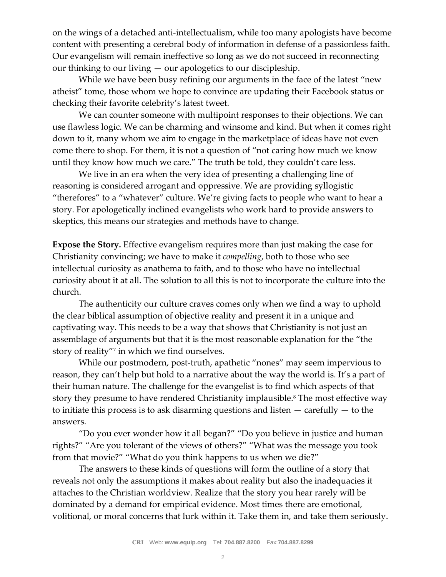on the wings of a detached anti-intellectualism, while too many apologists have become content with presenting a cerebral body of information in defense of a passionless faith. Our evangelism will remain ineffective so long as we do not succeed in reconnecting our thinking to our living — our apologetics to our discipleship.

While we have been busy refining our arguments in the face of the latest "new atheist" tome, those whom we hope to convince are updating their Facebook status or checking their favorite celebrity's latest tweet.

We can counter someone with multipoint responses to their objections. We can use flawless logic. We can be charming and winsome and kind. But when it comes right down to it, many whom we aim to engage in the marketplace of ideas have not even come there to shop. For them, it is not a question of "not caring how much we know until they know how much we care." The truth be told, they couldn't care less.

We live in an era when the very idea of presenting a challenging line of reasoning is considered arrogant and oppressive. We are providing syllogistic "therefores" to a "whatever" culture. We're giving facts to people who want to hear a story. For apologetically inclined evangelists who work hard to provide answers to skeptics, this means our strategies and methods have to change.

**Expose the Story.** Effective evangelism requires more than just making the case for Christianity convincing; we have to make it *compelling*, both to those who see intellectual curiosity as anathema to faith, and to those who have no intellectual curiosity about it at all. The solution to all this is not to incorporate the culture into the church.

The authenticity our culture craves comes only when we find a way to uphold the clear biblical assumption of objective reality and present it in a unique and captivating way. This needs to be a way that shows that Christianity is not just an assemblage of arguments but that it is the most reasonable explanation for the "the story of reality"<sup>7</sup> in which we find ourselves.

While our postmodern, post-truth, apathetic "nones" may seem impervious to reason, they can't help but hold to a narrative about the way the world is. It's a part of their human nature. The challenge for the evangelist is to find which aspects of that story they presume to have rendered Christianity implausible.<sup>8</sup> The most effective way to initiate this process is to ask disarming questions and listen  $-$  carefully  $-$  to the answers.

"Do you ever wonder how it all began?" "Do you believe in justice and human rights?" "Are you tolerant of the views of others?" "What was the message you took from that movie?" "What do you think happens to us when we die?"

The answers to these kinds of questions will form the outline of a story that reveals not only the assumptions it makes about reality but also the inadequacies it attaches to the Christian worldview. Realize that the story you hear rarely will be dominated by a demand for empirical evidence. Most times there are emotional, volitional, or moral concerns that lurk within it. Take them in, and take them seriously.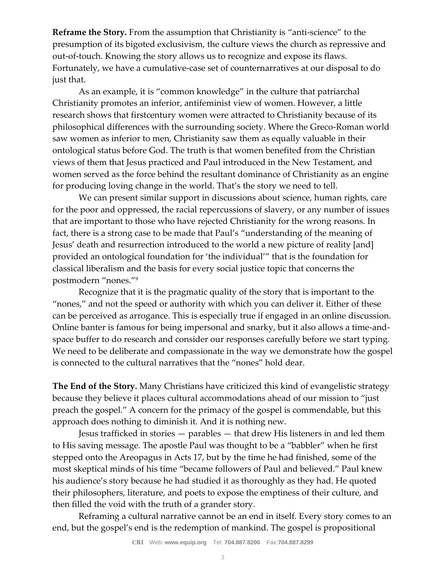**Reframe the Story.** From the assumption that Christianity is "anti-science" to the presumption of its bigoted exclusivism, the culture views the church as repressive and out-of-touch. Knowing the story allows us to recognize and expose its flaws. Fortunately, we have a cumulative-case set of counternarratives at our disposal to do just that.

As an example, it is "common knowledge" in the culture that patriarchal Christianity promotes an inferior, antifeminist view of women. However, a little research shows that firstcentury women were attracted to Christianity because of its philosophical differences with the surrounding society. Where the Greco-Roman world saw women as inferior to men, Christianity saw them as equally valuable in their ontological status before God. The truth is that women benefited from the Christian views of them that Jesus practiced and Paul introduced in the New Testament, and women served as the force behind the resultant dominance of Christianity as an engine for producing loving change in the world. That's the story we need to tell.

We can present similar support in discussions about science, human rights, care for the poor and oppressed, the racial repercussions of slavery, or any number of issues that are important to those who have rejected Christianity for the wrong reasons. In fact, there is a strong case to be made that Paul's "understanding of the meaning of Jesus' death and resurrection introduced to the world a new picture of reality [and] provided an ontological foundation for 'the individual'" that is the foundation for classical liberalism and the basis for every social justice topic that concerns the postmodern "nones."<sup>9</sup>

Recognize that it is the pragmatic quality of the story that is important to the "nones," and not the speed or authority with which you can deliver it. Either of these can be perceived as arrogance. This is especially true if engaged in an online discussion. Online banter is famous for being impersonal and snarky, but it also allows a time-andspace buffer to do research and consider our responses carefully before we start typing. We need to be deliberate and compassionate in the way we demonstrate how the gospel is connected to the cultural narratives that the "nones" hold dear.

**The End of the Story.** Many Christians have criticized this kind of evangelistic strategy because they believe it places cultural accommodations ahead of our mission to "just preach the gospel." A concern for the primacy of the gospel is commendable, but this approach does nothing to diminish it. And it is nothing new.

Jesus trafficked in stories — parables — that drew His listeners in and led them to His saving message. The apostle Paul was thought to be a "babbler" when he first stepped onto the Areopagus in Acts 17, but by the time he had finished, some of the most skeptical minds of his time "became followers of Paul and believed." Paul knew his audience's story because he had studied it as thoroughly as they had. He quoted their philosophers, literature, and poets to expose the emptiness of their culture, and then filled the void with the truth of a grander story.

Reframing a cultural narrative cannot be an end in itself. Every story comes to an end, but the gospel's end is the redemption of mankind. The gospel is propositional